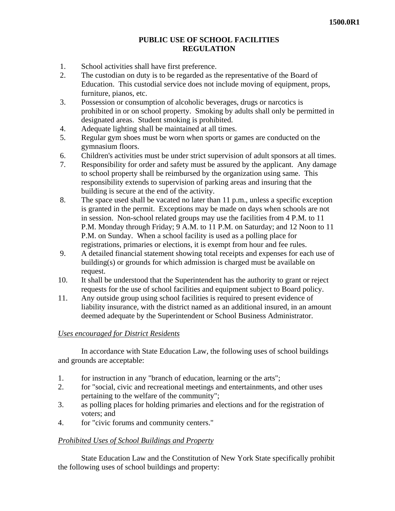# **PUBLIC USE OF SCHOOL FACILITIES REGULATION**

- 1. School activities shall have first preference.
- 2. The custodian on duty is to be regarded as the representative of the Board of Education. This custodial service does not include moving of equipment, props, furniture, pianos, etc.
- 3. Possession or consumption of alcoholic beverages, drugs or narcotics is prohibited in or on school property. Smoking by adults shall only be permitted in designated areas. Student smoking is prohibited.
- 4. Adequate lighting shall be maintained at all times.
- 5. Regular gym shoes must be worn when sports or games are conducted on the gymnasium floors.
- 6. Children's activities must be under strict supervision of adult sponsors at all times.
- 7. Responsibility for order and safety must be assured by the applicant. Any damage to school property shall be reimbursed by the organization using same. This responsibility extends to supervision of parking areas and insuring that the building is secure at the end of the activity.
- 8. The space used shall be vacated no later than 11 p.m., unless a specific exception is granted in the permit. Exceptions may be made on days when schools are not in session. Non-school related groups may use the facilities from 4 P.M. to 11 P.M. Monday through Friday; 9 A.M. to 11 P.M. on Saturday; and 12 Noon to 11 P.M. on Sunday. When a school facility is used as a polling place for registrations, primaries or elections, it is exempt from hour and fee rules.
- 9. A detailed financial statement showing total receipts and expenses for each use of building(s) or grounds for which admission is charged must be available on request.
- 10. It shall be understood that the Superintendent has the authority to grant or reject requests for the use of school facilities and equipment subject to Board policy.
- 11. Any outside group using school facilities is required to present evidence of liability insurance, with the district named as an additional insured, in an amount deemed adequate by the Superintendent or School Business Administrator.

## *Uses encouraged for District Residents*

In accordance with State Education Law, the following uses of school buildings and grounds are acceptable:

- 1. for instruction in any "branch of education, learning or the arts";
- 2. for "social, civic and recreational meetings and entertainments, and other uses pertaining to the welfare of the community";
- 3. as polling places for holding primaries and elections and for the registration of voters; and
- 4. for "civic forums and community centers."

## *Prohibited Uses of School Buildings and Property*

State Education Law and the Constitution of New York State specifically prohibit the following uses of school buildings and property: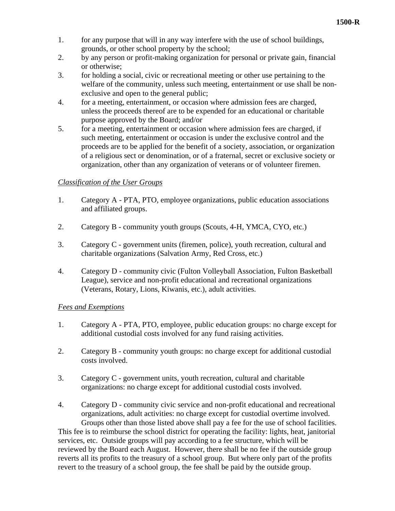- 1. for any purpose that will in any way interfere with the use of school buildings, grounds, or other school property by the school;
- 2. by any person or profit-making organization for personal or private gain, financial or otherwise;
- 3. for holding a social, civic or recreational meeting or other use pertaining to the welfare of the community, unless such meeting, entertainment or use shall be nonexclusive and open to the general public;
- 4. for a meeting, entertainment, or occasion where admission fees are charged, unless the proceeds thereof are to be expended for an educational or charitable purpose approved by the Board; and/or
- 5. for a meeting, entertainment or occasion where admission fees are charged, if such meeting, entertainment or occasion is under the exclusive control and the proceeds are to be applied for the benefit of a society, association, or organization of a religious sect or denomination, or of a fraternal, secret or exclusive society or organization, other than any organization of veterans or of volunteer firemen.

# *Classification of the User Groups*

- 1. Category A PTA, PTO, employee organizations, public education associations and affiliated groups.
- 2. Category B community youth groups (Scouts, 4-H, YMCA, CYO, etc.)
- 3. Category C government units (firemen, police), youth recreation, cultural and charitable organizations (Salvation Army, Red Cross, etc.)
- 4. Category D community civic (Fulton Volleyball Association, Fulton Basketball League), service and non-profit educational and recreational organizations (Veterans, Rotary, Lions, Kiwanis, etc.), adult activities.

## *Fees and Exemptions*

- 1. Category A PTA, PTO, employee, public education groups: no charge except for additional custodial costs involved for any fund raising activities.
- 2. Category B community youth groups: no charge except for additional custodial costs involved.
- 3. Category C government units, youth recreation, cultural and charitable organizations: no charge except for additional custodial costs involved.
- 4. Category D community civic service and non-profit educational and recreational organizations, adult activities: no charge except for custodial overtime involved. Groups other than those listed above shall pay a fee for the use of school facilities.

This fee is to reimburse the school district for operating the facility: lights, heat, janitorial services, etc. Outside groups will pay according to a fee structure, which will be reviewed by the Board each August. However, there shall be no fee if the outside group reverts all its profits to the treasury of a school group. But where only part of the profits revert to the treasury of a school group, the fee shall be paid by the outside group.